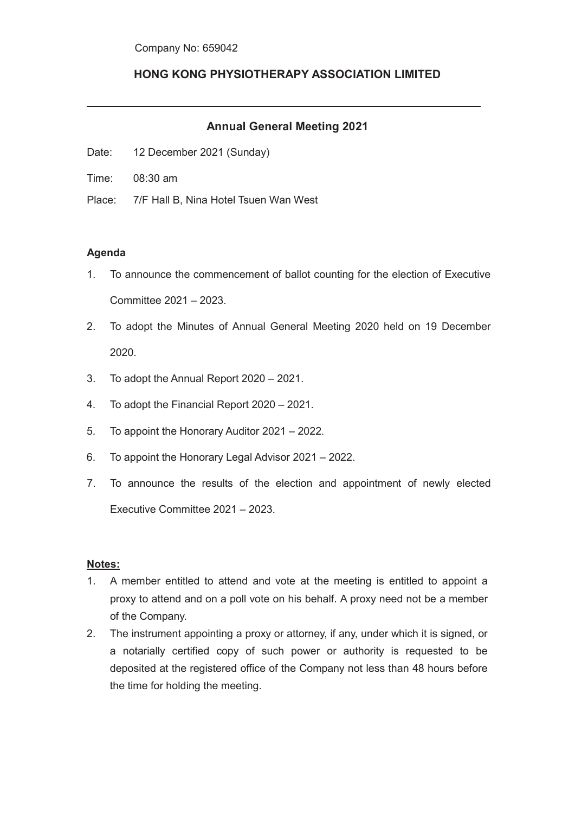## **HONG KONG PHYSIOTHERAPY ASSOCIATION LIMITED**

## **Annual General Meeting 2021**

- Date: 12 December 2021 (Sunday)
- Time: 08:30 am
- Place: 7/F Hall B, Nina Hotel Tsuen Wan West

## **Agenda**

- 1. To announce the commencement of ballot counting for the election of Executive Committee 2021 – 2023.
- 2. To adopt the Minutes of Annual General Meeting 2020 held on 19 December 2020.
- 3. To adopt the Annual Report 2020 2021.
- 4. To adopt the Financial Report 2020 2021.
- 5. To appoint the Honorary Auditor 2021 2022.
- 6. To appoint the Honorary Legal Advisor 2021 2022.
- 7. To announce the results of the election and appointment of newly elected Executive Committee 2021 – 2023.

## **Notes:**

- 1. A member entitled to attend and vote at the meeting is entitled to appoint a proxy to attend and on a poll vote on his behalf. A proxy need not be a member of the Company.
- 2. The instrument appointing a proxy or attorney, if any, under which it is signed, or a notarially certified copy of such power or authority is requested to be deposited at the registered office of the Company not less than 48 hours before the time for holding the meeting.